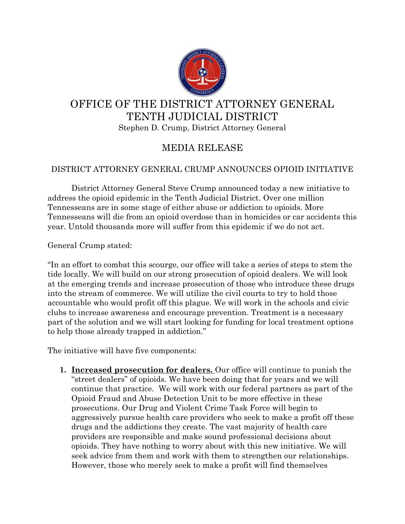

## OFFICE OF THE DISTRICT ATTORNEY GENERAL TENTH JUDICIAL DISTRICT Stephen D. Crump, District Attorney General

## MEDIA RELEASE

## DISTRICT ATTORNEY GENERAL CRUMP ANNOUNCES OPIOID INITIATIVE

District Attorney General Steve Crump announced today a new initiative to address the opioid epidemic in the Tenth Judicial District. Over one million Tennesseans are in some stage of either abuse or addiction to opioids. More Tennesseans will die from an opioid overdose than in homicides or car accidents this year. Untold thousands more will suffer from this epidemic if we do not act.

General Crump stated:

"In an effort to combat this scourge, our office will take a series of steps to stem the tide locally. We will build on our strong prosecution of opioid dealers. We will look at the emerging trends and increase prosecution of those who introduce these drugs into the stream of commerce. We will utilize the civil courts to try to hold those accountable who would profit off this plague. We will work in the schools and civic clubs to increase awareness and encourage prevention. Treatment is a necessary part of the solution and we will start looking for funding for local treatment options to help those already trapped in addiction."

The initiative will have five components:

**1. Increased prosecution for dealers.** Our office will continue to punish the "street dealers" of opioids. We have been doing that for years and we will continue that practice. We will work with our federal partners as part of the Opioid Fraud and Abuse Detection Unit to be more effective in these prosecutions. Our Drug and Violent Crime Task Force will begin to aggressively pursue health care providers who seek to make a profit off these drugs and the addictions they create. The vast majority of health care providers are responsible and make sound professional decisions about opioids. They have nothing to worry about with this new initiative. We will seek advice from them and work with them to strengthen our relationships. However, those who merely seek to make a profit will find themselves